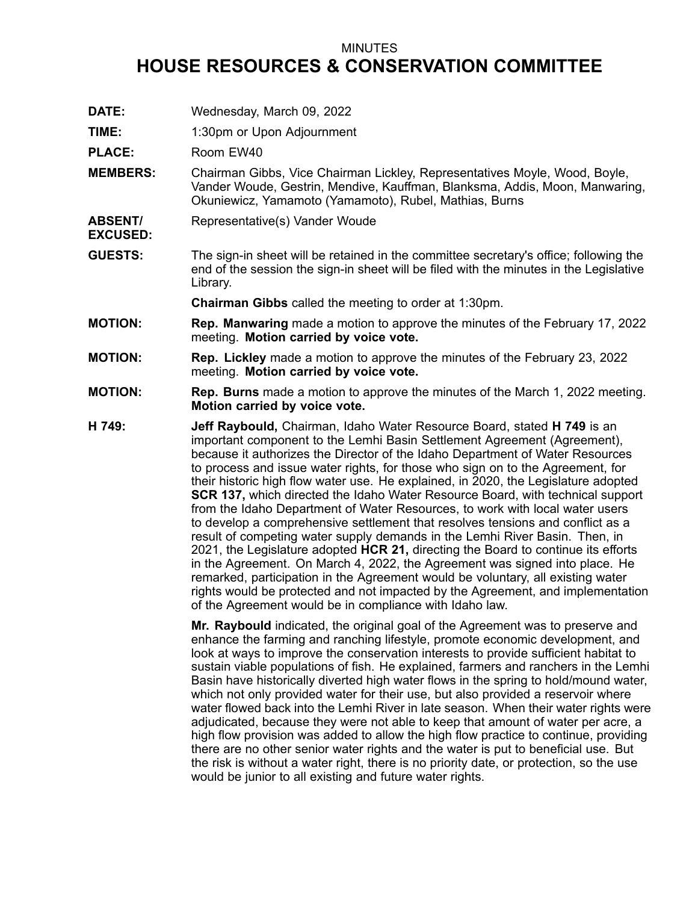## MINUTES **HOUSE RESOURCES & CONSERVATION COMMITTEE**

**DATE:** Wednesday, March 09, 2022

**TIME:** 1:30pm or Upon Adjournment

PLACE: Room EW40

**EXCUSED:**

- **MEMBERS:** Chairman Gibbs, Vice Chairman Lickley, Representatives Moyle, Wood, Boyle, Vander Woude, Gestrin, Mendive, Kauffman, Blanksma, Addis, Moon, Manwaring, Okuniewicz, Yamamoto (Yamamoto), Rubel, Mathias, Burns
- **ABSENT/** Representative(s) Vander Woude
- **GUESTS:** The sign-in sheet will be retained in the committee secretary's office; following the end of the session the sign-in sheet will be filed with the minutes in the Legislative Library.

**Chairman Gibbs** called the meeting to order at 1:30pm.

- **MOTION: Rep. Manwaring** made <sup>a</sup> motion to approve the minutes of the February 17, 2022 meeting. **Motion carried by voice vote.**
- **MOTION: Rep. Lickley** made <sup>a</sup> motion to approve the minutes of the February 23, 2022 meeting. **Motion carried by voice vote.**
- **MOTION: Rep. Burns** made <sup>a</sup> motion to approve the minutes of the March 1, 2022 meeting. **Motion carried by voice vote.**
- **H 749: Jeff Raybould,** Chairman, Idaho Water Resource Board, stated **H 749** is an important component to the Lemhi Basin Settlement Agreement (Agreement), because it authorizes the Director of the Idaho Department of Water Resources to process and issue water rights, for those who sign on to the Agreement, for their historic high flow water use. He explained, in 2020, the Legislature adopted **SCR 137,** which directed the Idaho Water Resource Board, with technical support from the Idaho Department of Water Resources, to work with local water users to develop <sup>a</sup> comprehensive settlement that resolves tensions and conflict as <sup>a</sup> result of competing water supply demands in the Lemhi River Basin. Then, in 2021, the Legislature adopted **HCR 21,** directing the Board to continue its efforts in the Agreement. On March 4, 2022, the Agreement was signed into place. He remarked, participation in the Agreement would be voluntary, all existing water rights would be protected and not impacted by the Agreement, and implementation of the Agreement would be in compliance with Idaho law.

**Mr. Raybould** indicated, the original goal of the Agreement was to preserve and enhance the farming and ranching lifestyle, promote economic development, and look at ways to improve the conservation interests to provide sufficient habitat to sustain viable populations of fish. He explained, farmers and ranchers in the Lemhi Basin have historically diverted high water flows in the spring to hold/mound water, which not only provided water for their use, but also provided <sup>a</sup> reservoir where water flowed back into the Lemhi River in late season. When their water rights were adjudicated, because they were not able to keep that amount of water per acre, <sup>a</sup> high flow provision was added to allow the high flow practice to continue, providing there are no other senior water rights and the water is put to beneficial use. But the risk is without <sup>a</sup> water right, there is no priority date, or protection, so the use would be junior to all existing and future water rights.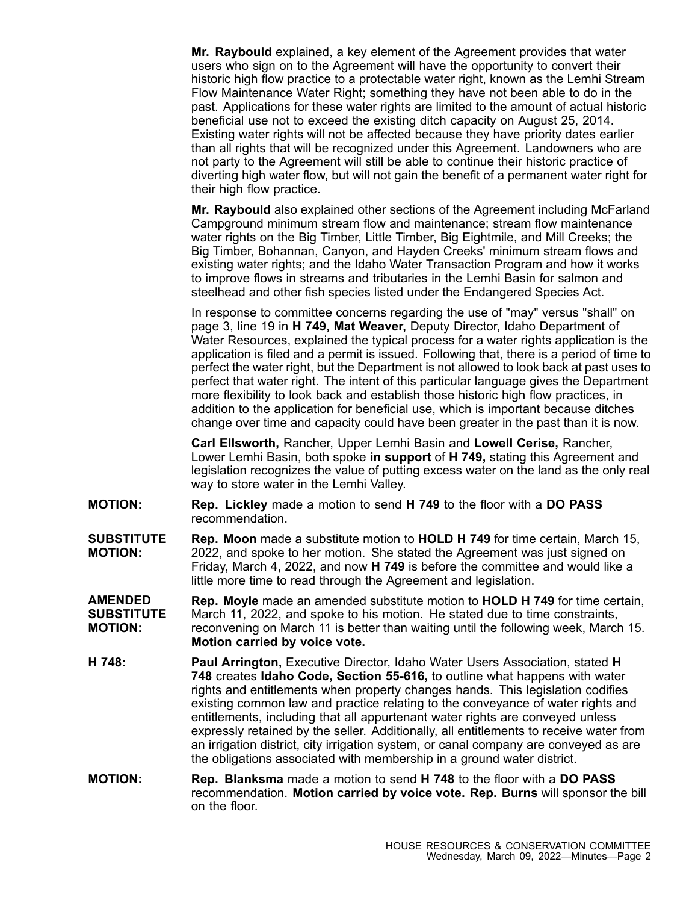**Mr. Raybould** explained, <sup>a</sup> key element of the Agreement provides that water users who sign on to the Agreement will have the opportunity to convert their historic high flow practice to <sup>a</sup> protectable water right, known as the Lemhi Stream Flow Maintenance Water Right; something they have not been able to do in the past. Applications for these water rights are limited to the amount of actual historic beneficial use not to exceed the existing ditch capacity on August 25, 2014. Existing water rights will not be affected because they have priority dates earlier than all rights that will be recognized under this Agreement. Landowners who are not party to the Agreement will still be able to continue their historic practice of diverting high water flow, but will not gain the benefit of <sup>a</sup> permanent water right for their high flow practice.

**Mr. Raybould** also explained other sections of the Agreement including McFarland Campground minimum stream flow and maintenance; stream flow maintenance water rights on the Big Timber, Little Timber, Big Eightmile, and Mill Creeks; the Big Timber, Bohannan, Canyon, and Hayden Creeks' minimum stream flows and existing water rights; and the Idaho Water Transaction Program and how it works to improve flows in streams and tributaries in the Lemhi Basin for salmon and steelhead and other fish species listed under the Endangered Species Act.

In response to committee concerns regarding the use of "may" versus "shall" on page 3, line 19 in **H 749, Mat Weaver,** Deputy Director, Idaho Department of Water Resources, explained the typical process for <sup>a</sup> water rights application is the application is filed and <sup>a</sup> permit is issued. Following that, there is <sup>a</sup> period of time to perfect the water right, but the Department is not allowed to look back at past uses to perfect that water right. The intent of this particular language gives the Department more flexibility to look back and establish those historic high flow practices, in addition to the application for beneficial use, which is important because ditches change over time and capacity could have been greater in the past than it is now.

**Carl Ellsworth,** Rancher, Upper Lemhi Basin and **Lowell Cerise,** Rancher, Lower Lemhi Basin, both spoke **in support** of **H 749,** stating this Agreement and legislation recognizes the value of putting excess water on the land as the only real way to store water in the Lemhi Valley.

- **MOTION: Rep. Lickley** made <sup>a</sup> motion to send **H 749** to the floor with <sup>a</sup> **DO PASS** recommendation.
- **SUBSTITUTE MOTION: Rep. Moon** made <sup>a</sup> substitute motion to **HOLD H 749** for time certain, March 15, 2022, and spoke to her motion. She stated the Agreement was just signed on Friday, March 4, 2022, and now **H 749** is before the committee and would like <sup>a</sup> little more time to read through the Agreement and legislation.
- **AMENDED SUBSTITUTE MOTION: Rep. Moyle** made an amended substitute motion to **HOLD H 749** for time certain, March 11, 2022, and spoke to his motion. He stated due to time constraints, reconvening on March 11 is better than waiting until the following week, March 15. **Motion carried by voice vote.**
- **H 748: Paul Arrington,** Executive Director, Idaho Water Users Association, stated **H 748** creates **Idaho Code, Section 55-616,** to outline what happens with water rights and entitlements when property changes hands. This legislation codifies existing common law and practice relating to the conveyance of water rights and entitlements, including that all appurtenant water rights are conveyed unless expressly retained by the seller. Additionally, all entitlements to receive water from an irrigation district, city irrigation system, or canal company are conveyed as are the obligations associated with membership in <sup>a</sup> ground water district.
- **MOTION: Rep. Blanksma** made <sup>a</sup> motion to send **H 748** to the floor with <sup>a</sup> **DO PASS** recommendation. **Motion carried by voice vote. Rep. Burns** will sponsor the bill on the floor.